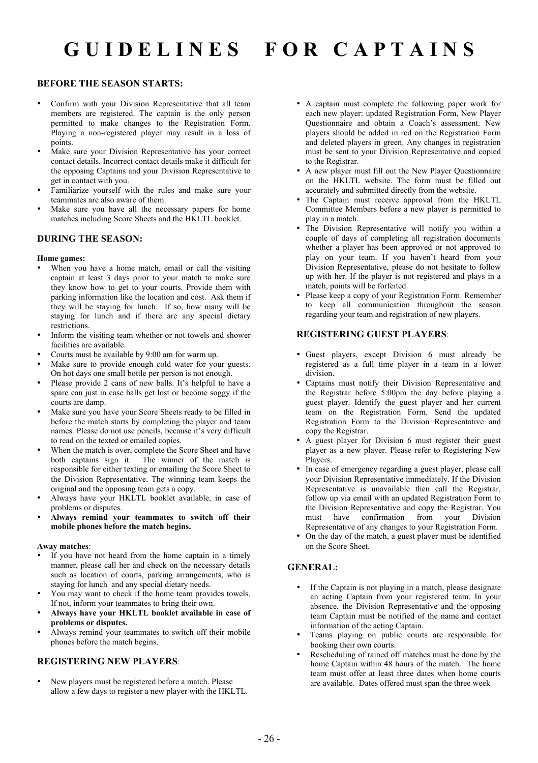# **G U I D E L I N E S F O R C A P T A I N S**

## **BEFORE THE SEASON STARTS:**

- Confirm with your Division Representative that all team members are registered. The captain is the only person permitted to make changes to the Registration Form. Playing a non-registered player may result in a loss of points.
- Make sure your Division Representative has your correct contact details. Incorrect contact details make it difficult for the opposing Captains and your Division Representative to get in contact with you.
- Familiarize yourself with the rules and make sure your teammates are also aware of them.
- Make sure you have all the necessary papers for home matches including Score Sheets and the HKLTL booklet.

## **DURING THE SEASON:**

### **Home games:**

- When you have a home match, email or call the visiting captain at least 3 days prior to your match to make sure they know how to get to your courts. Provide them with parking information like the location and cost. Ask them if they will be staying for lunch. If so, how many will be staying for lunch and if there are any special dietary restrictions.
- Inform the visiting team whether or not towels and shower facilities are available.
- Courts must be available by 9:00 am for warm up.
- Make sure to provide enough cold water for your guests. On hot days one small bottle per person is not enough.
- Please provide 2 cans of new balls. It's helpful to have a spare can just in case balls get lost or become soggy if the courts are damp.
- Make sure you have your Score Sheets ready to be filled in before the match starts by completing the player and team names. Please do not use pencils, because it's very difficult to read on the texted or emailed copies.
- When the match is over, complete the Score Sheet and have both captains sign it. The winner of the match is responsible for either texting or emailing the Score Sheet to the Division Representative. The winning team keeps the original and the opposing team gets a copy.
- Always have your HKLTL booklet available, in case of problems or disputes.
- **Always remind your teammates to switch off their mobile phones before the match begins.**

#### **Away matches**:

- If you have not heard from the home captain in a timely manner, please call her and check on the necessary details such as location of courts, parking arrangements, who is staying for lunch and any special dietary needs.
- You may want to check if the home team provides towels. If not, inform your teammates to bring their own.
- **Always have your HKLTL booklet available in case of problems or disputes.**
- Always remind your teammates to switch off their mobile phones before the match begins.

# **REGISTERING NEW PLAYERS**:

• New players must be registered before a match. Please allow a few days to register a new player with the HKLTL.

- A captain must complete the following paper work for each new player: updated Registration Form, New Player Questionnaire and obtain a Coach's assessment. New players should be added in red on the Registration Form and deleted players in green. Any changes in registration must be sent to your Division Representative and copied to the Registrar.
- A new player must fill out the New Player Questionnaire on the HKLTL website. The form must be filled out accurately and submitted directly from the website.
- The Captain must receive approval from the HKLTL Committee Members before a new player is permitted to play in a match.
- The Division Representative will notify you within a couple of days of completing all registration documents whether a player has been approved or not approved to play on your team. If you haven't heard from your Division Representative, please do not hesitate to follow up with her. If the player is not registered and plays in a match, points will be forfeited.
- Please keep a copy of your Registration Form. Remember to keep all communication throughout the season regarding your team and registration of new players.

# **REGISTERING GUEST PLAYERS**:

- Guest players, except Division 6 must already be registered as a full time player in a team in a lower division.
- Captains must notify their Division Representative and the Registrar before 5:00pm the day before playing a guest player. Identify the guest player and her current team on the Registration Form. Send the updated Registration Form to the Division Representative and copy the Registrar.
- A guest player for Division 6 must register their guest player as a new player. Please refer to Registering New Players.
- In case of emergency regarding a guest player, please call your Division Representative immediately. If the Division Representative is unavailable then call the Registrar, follow up via email with an updated Registration Form to the Division Representative and copy the Registrar. You must have confirmation from your Division Representative of any changes to your Registration Form.
- On the day of the match, a guest player must be identified on the Score Sheet.

# **GENERAL:**

- If the Captain is not playing in a match, please designate an acting Captain from your registered team. In your absence, the Division Representative and the opposing team Captain must be notified of the name and contact information of the acting Captain.
- Teams playing on public courts are responsible for booking their own courts.
- Rescheduling of rained off matches must be done by the home Captain within 48 hours of the match. The home team must offer at least three dates when home courts are available. Dates offered must span the three week